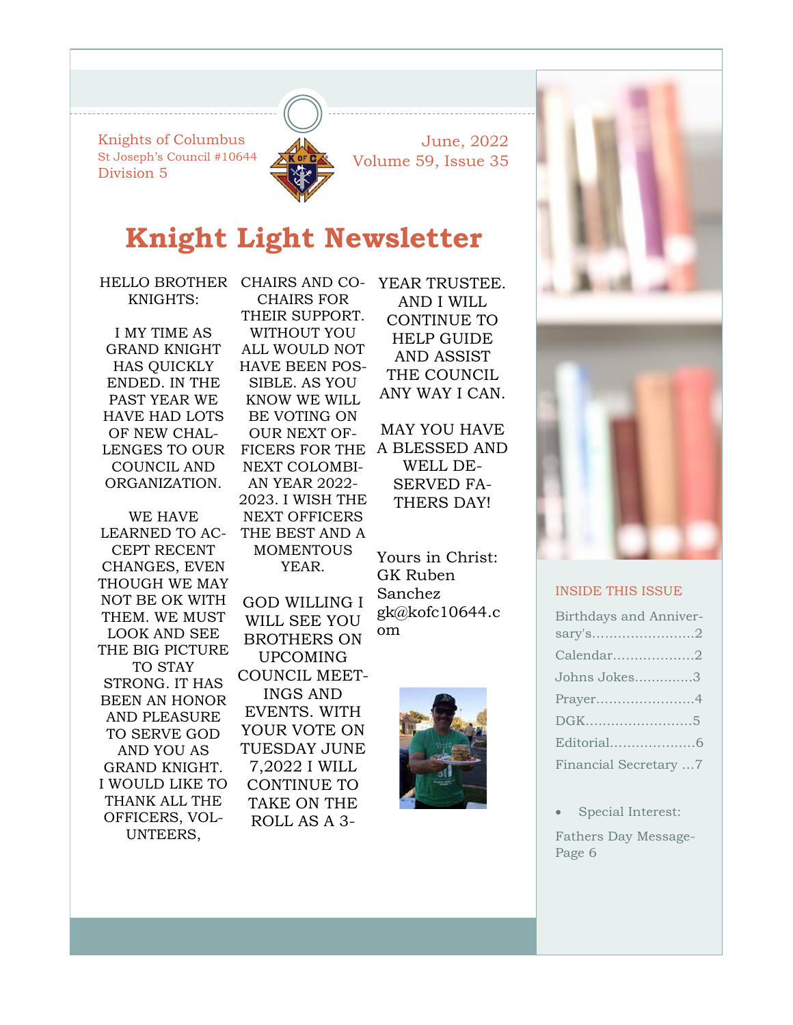Knights of Columbus St Joseph's Council #10644 Division 5



June, 2022 Volume 59, Issue 35

## **Knight Light Newsletter**

HELLO BROTHER KNIGHTS:

I MY TIME AS GRAND KNIGHT HAS QUICKLY ENDED. IN THE PAST YEAR WE HAVE HAD LOTS OF NEW CHAL-LENGES TO OUR COUNCIL AND ORGANIZATION.

WE HAVE LEARNED TO AC-CEPT RECENT CHANGES, EVEN THOUGH WE MAY NOT BE OK WITH THEM. WE MUST LOOK AND SEE THE BIG PICTURE TO STAY STRONG. IT HAS BEEN AN HONOR AND PLEASURE TO SERVE GOD AND YOU AS GRAND KNIGHT. I WOULD LIKE TO THANK ALL THE OFFICERS, VOL-UNTEERS,

CHAIRS AND CO-CHAIRS FOR THEIR SUPPORT. WITHOUT YOU ALL WOULD NOT HAVE BEEN POS-SIBLE. AS YOU KNOW WE WILL BE VOTING ON OUR NEXT OF-FICERS FOR THE NEXT COLOMBI-AN YEAR 2022- 2023. I WISH THE NEXT OFFICERS THE BEST AND A **MOMENTOUS** YEAR. GOD WILLING I WILL SEE YOU BROTHERS ON

UPCOMING COUNCIL MEET-INGS AND EVENTS. WITH YOUR VOTE ON TUESDAY JUNE 7,2022 I WILL CONTINUE TO TAKE ON THE ROLL AS A 3YEAR TRUSTEE. AND I WILL CONTINUE TO HELP GUIDE AND ASSIST THE COUNCIL ANY WAY I CAN.

MAY YOU HAVE A BLESSED AND WELL DE-SERVED FA-THERS DAY!

Yours in Christ: GK Ruben Sanchez gk@kofc10644.c om







#### INSIDE THIS ISSUE

| Birthdays and Anniver- |
|------------------------|
|                        |
| Calendar2              |
| Johns Jokes3           |
| Prayer4                |
| DGK5                   |
|                        |
| Financial Secretary 7  |

• Special Interest: Fathers Day Message-Page 6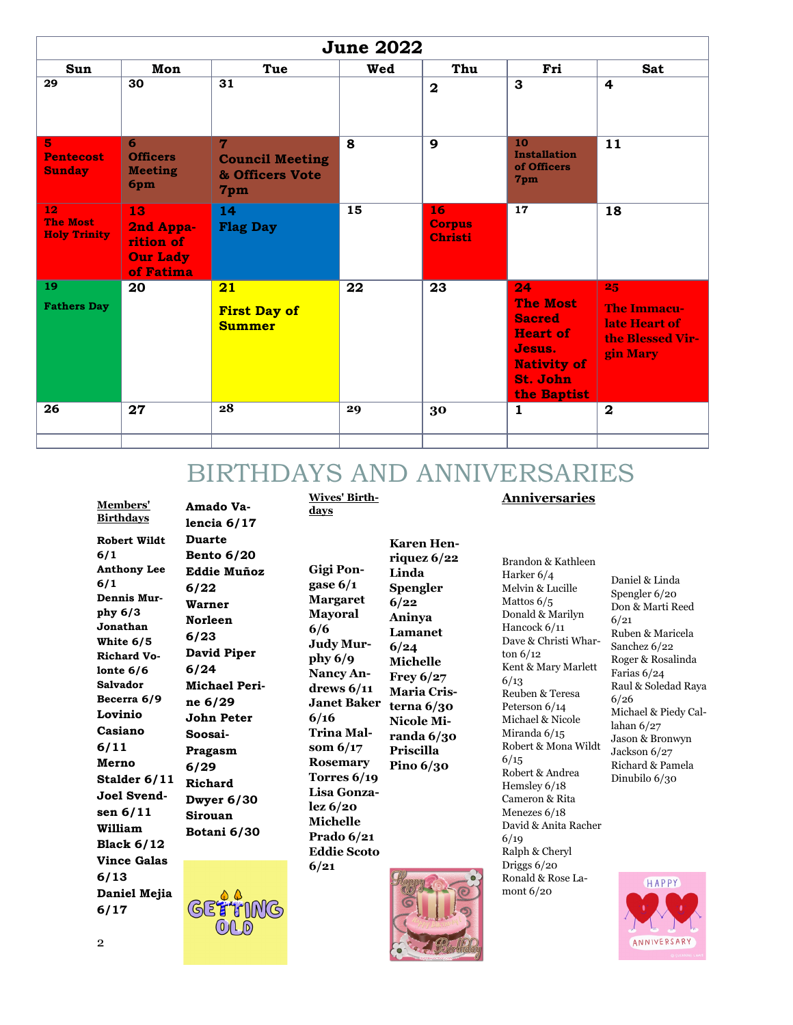| <b>June 2022</b>                             |                                                              |                                                       |     |                                       |                                                                                                                      |                                                                           |  |
|----------------------------------------------|--------------------------------------------------------------|-------------------------------------------------------|-----|---------------------------------------|----------------------------------------------------------------------------------------------------------------------|---------------------------------------------------------------------------|--|
| Sun<br>29                                    | Mon<br>30                                                    | Tue<br>31                                             | Wed | Thu<br>$\mathbf{2}$                   | Fri<br>3                                                                                                             | <b>Sat</b><br>4                                                           |  |
| 5<br><b>Pentecost</b><br><b>Sunday</b>       | 6<br><b>Officers</b><br><b>Meeting</b><br>6pm                | 7<br><b>Council Meeting</b><br>& Officers Vote<br>7pm | 8   | 9                                     | 10<br><b>Installation</b><br>of Officers<br>7pm                                                                      | 11                                                                        |  |
| 12<br><b>The Most</b><br><b>Holy Trinity</b> | 13<br>2nd Appa-<br>rition of<br><b>Our Lady</b><br>of Fatima | 14<br><b>Flag Day</b>                                 | 15  | 16<br><b>Corpus</b><br><b>Christi</b> | 17                                                                                                                   | 18                                                                        |  |
| 19<br><b>Fathers Day</b>                     | 20                                                           | 21<br><b>First Day of</b><br><b>Summer</b>            | 22  | 23                                    | 24<br><b>The Most</b><br><b>Sacred</b><br><b>Heart of</b><br>Jesus.<br><b>Nativity of</b><br>St. John<br>the Baptist | 25<br><b>The Immacu-</b><br>late Heart of<br>the Blessed Vir-<br>gin Mary |  |
| 26                                           | 27                                                           | 28                                                    | 29  | 30                                    | $\mathbf{1}$                                                                                                         | $\mathbf{2}$                                                              |  |

### BIRTHDAYS AND ANNIVERSARIES

**Members' Birthdays Robert Wildt 6/1 Anthony Lee 6/1 Dennis Murphy 6/3 Jonathan White 6/5 Richard Volonte 6/6 Salvador Becerra 6/9 Lovinio Casiano 6/11 Merno Stalder 6/11 Joel Svendsen 6/11 William Black 6/12 Vince Galas 6/13 Daniel Mejia 6/17**

**Amado Valencia 6/17 Duarte Bento 6/20 Eddie Muñoz 6/22 Warner Norleen 6/23 David Piper 6/24 Michael Perine 6/29 John Peter Soosai-Pragasm 6/29 Richard Dwyer 6/30 Sirouan Botani 6/30** 



**Gigi Pongase 6/1 Margaret Mayoral 6/6 Judy Murphy 6/9 Nancy Andrews 6/11 Janet Baker 6/16 Trina Malsom 6/17 Rosemary Torres 6/19 Lisa Gonzalez 6/20 Michelle Prado 6/21 Eddie Scoto 6/21**

**Wives' Birth-**

**days**

**Karen Henriquez 6/22 Linda Spengler 6/22 Aninya Lamanet 6/24 Michelle Frey 6/27 Maria Cristerna 6/30 Nicole Miranda 6/30 Priscilla Pino 6/30** 



Brandon & Kathleen Harker 6/4 Melvin & Lucille Mattos 6/5 Donald & Marilyn Hancock 6/11 Dave & Christi Wharton 6/12 Kent & Mary Marlett 6/13 Reuben & Teresa Peterson 6/14 Michael & Nicole Miranda 6/15 Robert & Mona Wildt  $6/15$ Robert & Andrea Hemsley 6/18 Cameron & Rita Menezes 6/18 David & Anita Racher 6/19 Ralph & Cheryl Driggs 6/20 Ronald & Rose Lamont 6/20

**Anniversaries**

#### Daniel & Linda Spengler 6/20 Don & Marti Reed 6/21 Ruben & Maricela Sanchez 6/22 Roger & Rosalinda Farias 6/24 Raul & Soledad Raya 6/26 Michael & Piedy Callahan 6/27 Jason & Bronwyn Jackson 6/27 Richard & Pamela Dinubilo 6/30



2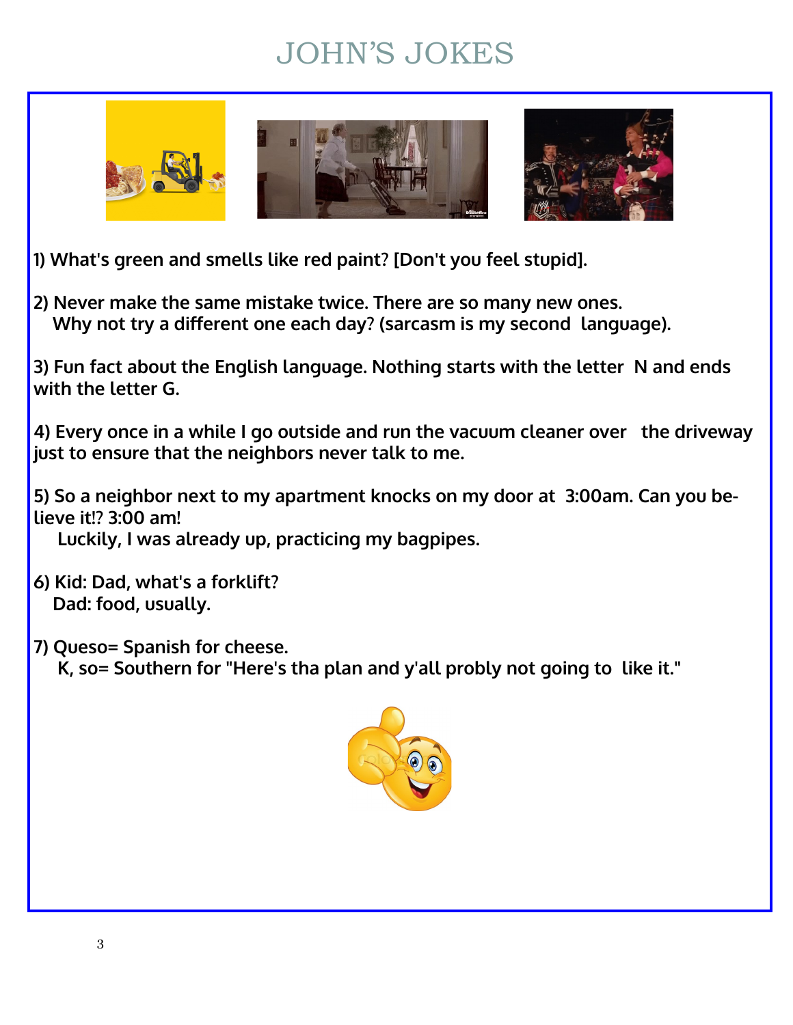# JOHN'S JOKES



**1) What's green and smells like red paint? [Don't you feel stupid].**

**2) Never make the same mistake twice. There are so many new ones. Why not try a different one each day? (sarcasm is my second language).**

**3) Fun fact about the English language. Nothing starts with the letter N and ends with the letter G.**

**4) Every once in a while I go outside and run the vacuum cleaner over the driveway just to ensure that the neighbors never talk to me.**

**5) So a neighbor next to my apartment knocks on my door at 3:00am. Can you believe it!? 3:00 am!**

**Luckily, I was already up, practicing my bagpipes.**

**6) Kid: Dad, what's a forklift? Dad: food, usually.**

**7) Queso= Spanish for cheese. K, so= Southern for "Here's tha plan and y'all probly not going to like it."**

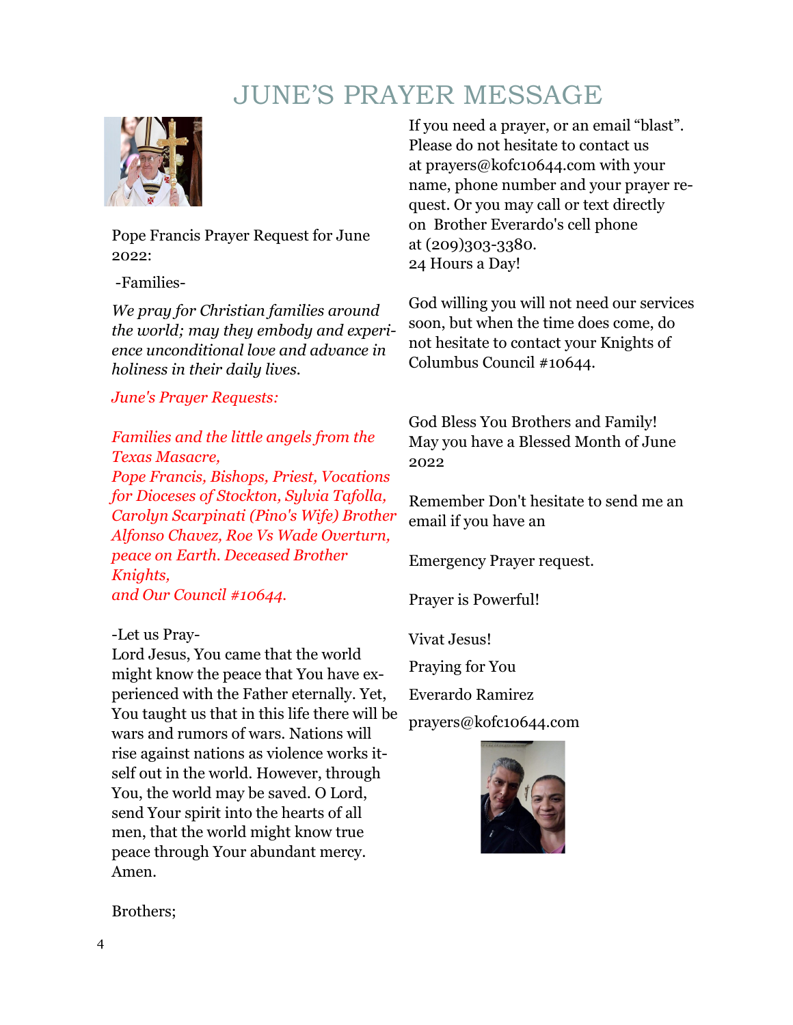### JUNE'S PRAYER MESSAGE



Pope Francis Prayer Request for June 2022:

-Families-

*We pray for Christian families around the world; may they embody and experience unconditional love and advance in holiness in their daily lives.* 

### *June's Prayer Requests:*

*Families and the little angels from the Texas Masacre, Pope Francis, Bishops, Priest, Vocations for Dioceses of Stockton, Sylvia Tafolla,* 

*Carolyn Scarpinati (Pino's Wife) Brother Alfonso Chavez, Roe Vs Wade Overturn, peace on Earth. Deceased Brother Knights, and Our Council #10644.*

### -Let us Pray-

Lord Jesus, You came that the world might know the peace that You have experienced with the Father eternally. Yet, You taught us that in this life there will be wars and rumors of wars. Nations will rise against nations as violence works itself out in the world. However, through You, the world may be saved. O Lord, send Your spirit into the hearts of all men, that the world might know true peace through Your abundant mercy. Amen.

If you need a prayer, or an email "blast". Please do not hesitate to contact us at prayers@kofc10644.com with your name, phone number and your prayer request. Or you may call or text directly on Brother Everardo's cell phone at (209)303-3380. 24 Hours a Day!

God willing you will not need our services soon, but when the time does come, do not hesitate to contact your Knights of Columbus Council #10644.

God Bless You Brothers and Family! May you have a Blessed Month of June 2022

Remember Don't hesitate to send me an email if you have an

Emergency Prayer request.

Prayer is Powerful!

Vivat Jesus!

Praying for You

Everardo Ramirez

prayers@kofc10644.com



Brothers;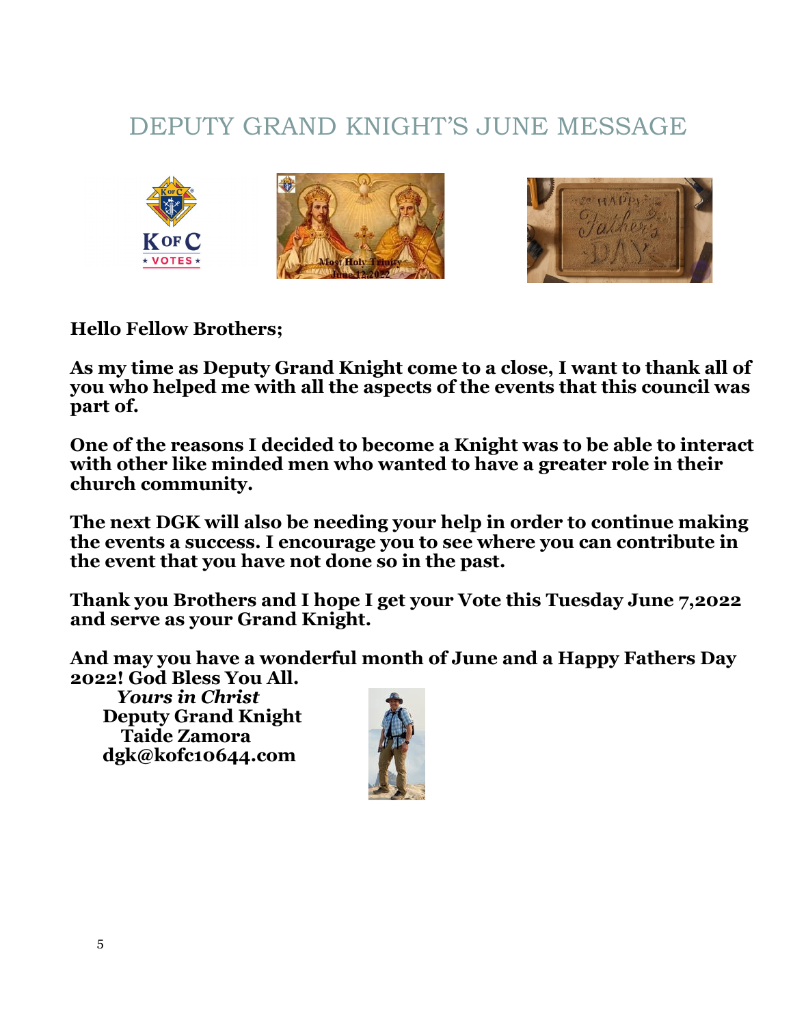## DEPUTY GRAND KNIGHT'S JUNE MESSAGE





**Hello Fellow Brothers;**

**As my time as Deputy Grand Knight come to a close, I want to thank all of you who helped me with all the aspects of the events that this council was part of.**

**One of the reasons I decided to become a Knight was to be able to interact with other like minded men who wanted to have a greater role in their church community.**

**The next DGK will also be needing your help in order to continue making the events a success. I encourage you to see where you can contribute in the event that you have not done so in the past.**

**Thank you Brothers and I hope I get your Vote this Tuesday June 7,2022 and serve as your Grand Knight.**

**And may you have a wonderful month of June and a Happy Fathers Day 2022! God Bless You All.** 

*Yours in Christ*  **Deputy Grand Knight Taide Zamora dgk@kofc10644.com**

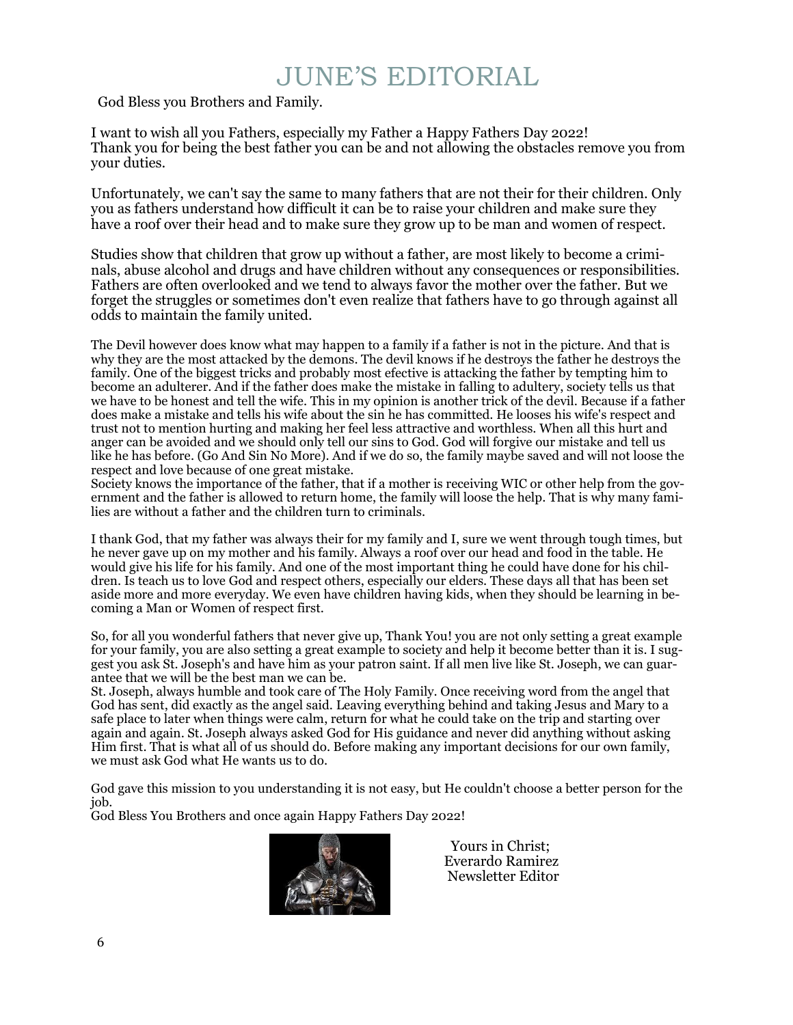# JUNE'S EDITORIAL

God Bless you Brothers and Family.

I want to wish all you Fathers, especially my Father a Happy Fathers Day 2022! Thank you for being the best father you can be and not allowing the obstacles remove you from your duties.

Unfortunately, we can't say the same to many fathers that are not their for their children. Only you as fathers understand how difficult it can be to raise your children and make sure they have a roof over their head and to make sure they grow up to be man and women of respect.

Studies show that children that grow up without a father, are most likely to become a criminals, abuse alcohol and drugs and have children without any consequences or responsibilities. Fathers are often overlooked and we tend to always favor the mother over the father. But we forget the struggles or sometimes don't even realize that fathers have to go through against all odds to maintain the family united.

The Devil however does know what may happen to a family if a father is not in the picture. And that is why they are the most attacked by the demons. The devil knows if he destroys the father he destroys the family. One of the biggest tricks and probably most efective is attacking the father by tempting him to become an adulterer. And if the father does make the mistake in falling to adultery, society tells us that we have to be honest and tell the wife. This in my opinion is another trick of the devil. Because if a father does make a mistake and tells his wife about the sin he has committed. He looses his wife's respect and trust not to mention hurting and making her feel less attractive and worthless. When all this hurt and anger can be avoided and we should only tell our sins to God. God will forgive our mistake and tell us like he has before. (Go And Sin No More). And if we do so, the family maybe saved and will not loose the respect and love because of one great mistake.

Society knows the importance of the father, that if a mother is receiving WIC or other help from the government and the father is allowed to return home, the family will loose the help. That is why many families are without a father and the children turn to criminals.

I thank God, that my father was always their for my family and I, sure we went through tough times, but he never gave up on my mother and his family. Always a roof over our head and food in the table. He would give his life for his family. And one of the most important thing he could have done for his children. Is teach us to love God and respect others, especially our elders. These days all that has been set aside more and more everyday. We even have children having kids, when they should be learning in becoming a Man or Women of respect first.

So, for all you wonderful fathers that never give up, Thank You! you are not only setting a great example for your family, you are also setting a great example to society and help it become better than it is. I suggest you ask St. Joseph's and have him as your patron saint. If all men live like St. Joseph, we can guarantee that we will be the best man we can be.

St. Joseph, always humble and took care of The Holy Family. Once receiving word from the angel that God has sent, did exactly as the angel said. Leaving everything behind and taking Jesus and Mary to a safe place to later when things were calm, return for what he could take on the trip and starting over again and again. St. Joseph always asked God for His guidance and never did anything without asking Him first. That is what all of us should do. Before making any important decisions for our own family, we must ask God what He wants us to do.

God gave this mission to you understanding it is not easy, but He couldn't choose a better person for the job.

God Bless You Brothers and once again Happy Fathers Day 2022!



 Yours in Christ; Everardo Ramirez Newsletter Editor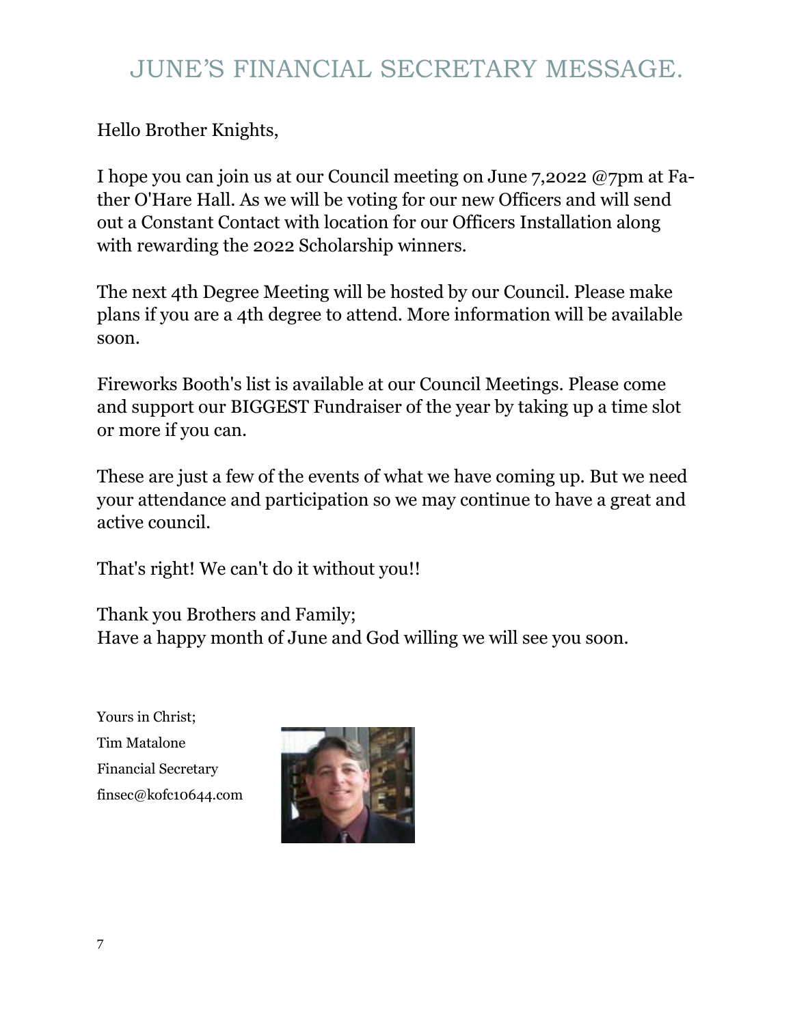### JUNE'S FINANCIAL SECRETARY MESSAGE.

Hello Brother Knights,

I hope you can join us at our Council meeting on June 7,2022 @7pm at Father O'Hare Hall. As we will be voting for our new Officers and will send out a Constant Contact with location for our Officers Installation along with rewarding the 2022 Scholarship winners.

The next 4th Degree Meeting will be hosted by our Council. Please make plans if you are a 4th degree to attend. More information will be available soon.

Fireworks Booth's list is available at our Council Meetings. Please come and support our BIGGEST Fundraiser of the year by taking up a time slot or more if you can.

These are just a few of the events of what we have coming up. But we need your attendance and participation so we may continue to have a great and active council.

That's right! We can't do it without you!!

Thank you Brothers and Family; Have a happy month of June and God willing we will see you soon.

Yours in Christ; Tim Matalone Financial Secretary finsec@kofc10644.com